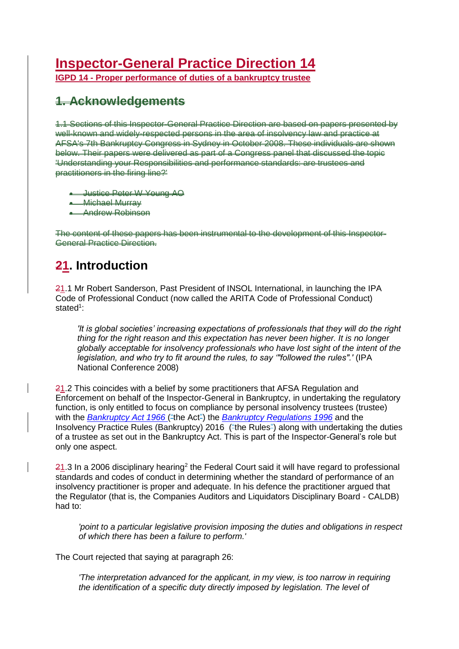# **Inspector-General Practice Direction 14**

**IGPD 14 - Proper performance of duties of a bankruptcy trustee**

## **1. Acknowledgements**

1.1 Sections of this Inspector-General Practice Direction are based on papers presented by well-known and widely-respected persons in the area of insolvency law and practice at AFSA's 7th Bankruptcy Congress in Sydney in October 2008. These individuals are shown below. Their papers were delivered as part of a Congress panel that discussed the topic 'Understanding your Responsibilities and performance standards: are trustees and practitioners in the firing line?'

- Justice Peter W Young AO
- Michael Murray
- Andrew Robinson

The content of these papers has been instrumental to the development of this Inspector-General Practice Direction.

## **21. Introduction**

21.1 Mr Robert Sanderson, Past President of INSOL International, in launching the IPA Code of Professional Conduct (now called the ARITA Code of Professional Conduct) stated<sup>1</sup>:

*'It is global societies' increasing expectations of professionals that they will do the right thing for the right reason and this expectation has never been higher. It is no longer globally acceptable for insolvency professionals who have lost sight of the intent of the legislation, and who try to fit around the rules, to say '"followed the rules".'* (IPA National Conference 2008)

 $21.2$  This coincides with a belief by some practitioners that AFSA Regulation and Enforcement on behalf of the Inspector-General in Bankruptcy, in undertaking the regulatory function, is only entitled to focus on compliance by personal insolvency trustees (trustee) with the *[Bankruptcy Act 1966](https://www.legislation.gov.au/Details/C2016C01107)* ("the Act") the *[Bankruptcy Regulations 1996](https://www.legislation.gov.au/Details/F2016C00600)* and the Insolvency Practice Rules (Bankruptcy) 2016 ("the Rules") along with undertaking the duties of a trustee as set out in the Bankruptcy Act. This is part of the Inspector-General's role but only one aspect.

 $21.3$  In a 2006 disciplinary hearing<sup>2</sup> the Federal Court said it will have regard to professional standards and codes of conduct in determining whether the standard of performance of an insolvency practitioner is proper and adequate. In his defence the practitioner argued that the Regulator (that is, the Companies Auditors and Liquidators Disciplinary Board - CALDB) had to:

*'point to a particular legislative provision imposing the duties and obligations in respect of which there has been a failure to perform.'*

The Court rejected that saying at paragraph 26:

*'The interpretation advanced for the applicant, in my view, is too narrow in requiring the identification of a specific duty directly imposed by legislation. The level of*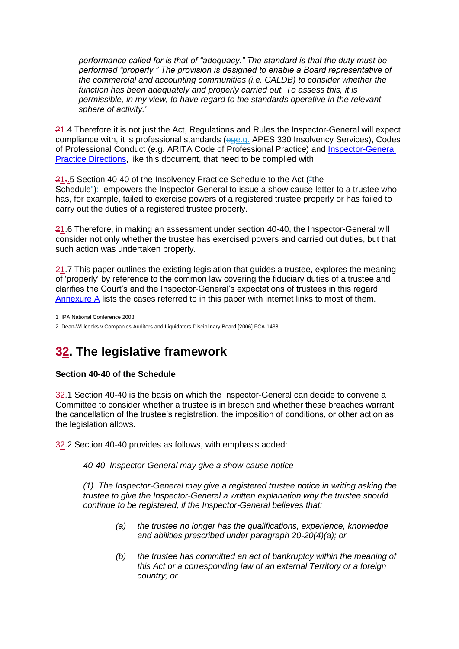*performance called for is that of "adequacy." The standard is that the duty must be performed "properly." The provision is designed to enable a Board representative of the commercial and accounting communities (i.e. CALDB) to consider whether the function has been adequately and properly carried out. To assess this, it is permissible, in my view, to have regard to the standards operative in the relevant sphere of activity.'*

21.4 Therefore it is not just the Act, Regulations and Rules the Inspector-General will expect compliance with, it is professional standards (ege.g. APES 330 Insolvency Services), Codes of Professional Conduct (e.g. ARITA Code of Professional Practice) and [Inspector-General](https://www.afsa.gov.au/about-us/practices/inspector-general-practice-directions)  [Practice Directions,](https://www.afsa.gov.au/about-us/practices/inspector-general-practice-directions) like this document, that need to be complied with.

 $21-5$  Section 40-40 of the Insolvency Practice Schedule to the Act ("the Schedule<sup>"</sup>): empowers the Inspector-General to issue a show cause letter to a trustee who has, for example, failed to exercise powers of a registered trustee properly or has failed to carry out the duties of a registered trustee properly.

21.6 Therefore, in making an assessment under section 40-40, the Inspector-General will consider not only whether the trustee has exercised powers and carried out duties, but that such action was undertaken properly.

21.7 This paper outlines the existing legislation that guides a trustee, explores the meaning of 'properly' by reference to the common law covering the fiduciary duties of a trustee and clarifies the Court's and the Inspector-General's expectations of trustees in this regard. Annexure A lists the cases referred to in this paper with internet links to most of them.

1 IPA National Conference 2008

2 Dean-Willcocks v Companies Auditors and Liquidators Disciplinary Board [2006] FCA 1438

## **32. The legislative framework**

## **Section 40-40 of the Schedule**

32.1 Section 40-40 is the basis on which the Inspector-General can decide to convene a Committee to consider whether a trustee is in breach and whether these breaches warrant the cancellation of the trustee's registration, the imposition of conditions, or other action as the legislation allows.

32.2 Section 40-40 provides as follows, with emphasis added:

*40-40 Inspector-General may give a show-cause notice*

*(1) The Inspector-General may give a registered trustee notice in writing asking the trustee to give the Inspector-General a written explanation why the trustee should continue to be registered, if the Inspector-General believes that:*

- *(a) the trustee no longer has the qualifications, experience, knowledge and abilities prescribed under paragraph 20-20(4)(a); or*
- *(b) the trustee has committed an act of bankruptcy within the meaning of this Act or a corresponding law of an external Territory or a foreign country; or*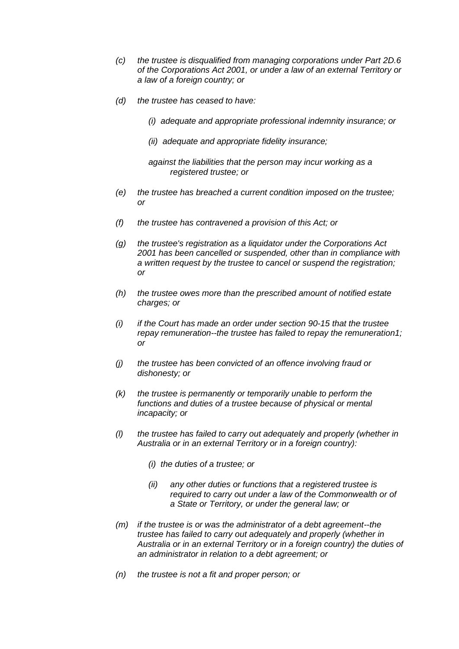- *(c) the trustee is disqualified from managing corporations under Part 2D.6 of the [Corporations Act 2001,](https://www.legislation.gov.au/Details/C2016C00922) or under a law of an external Territory or a law of a foreign country; or*
- *(d) the trustee has ceased to have:* 
	- *(i) adequate and appropriate professional indemnity insurance; or*
	- *(ii) adequate and appropriate fidelity insurance;*

*against the liabilities that the person may incur working as a registered trustee; or*

- *(e) the trustee has breached a current condition imposed on the trustee; or*
- *(f) the trustee has contravened a provision of this Act; or*
- *(g) the trustee's registration as a liquidator under the [Corporations Act](https://www.legislation.gov.au/Details/C2016C00922)  [2001](https://www.legislation.gov.au/Details/C2016C00922) has been cancelled or suspended, other than in compliance with a written request by the trustee to cancel or suspend the registration; or*
- *(h) the trustee owes more than the prescribed amount of notified estate charges; or*
- *(i) if the Court has made an order under section 90-15 that the trustee repay remuneration--the trustee has failed to repay the remuneration1; or*
- *(j) the trustee has been convicted of an offence involving fraud or dishonesty; or*
- *(k) the trustee is permanently or temporarily unable to perform the functions and duties of a trustee because of physical or mental incapacity; or*
- *(l) the trustee has failed to carry out adequately and properly (whether in Australia or in an external Territory or in a foreign country):* 
	- *(i) the duties of a trustee; or*
	- *(ii) any other duties or functions that a registered trustee is required to carry out under a law of the Commonwealth or of a State or Territory, or under the general law; or*
- *(m) if the trustee is or was the administrator of a debt agreement--the trustee has failed to carry out adequately and properly (whether in Australia or in an external Territory or in a foreign country) the duties of an administrator in relation to a debt agreement; or*
- *(n) the trustee is not a fit and proper person; or*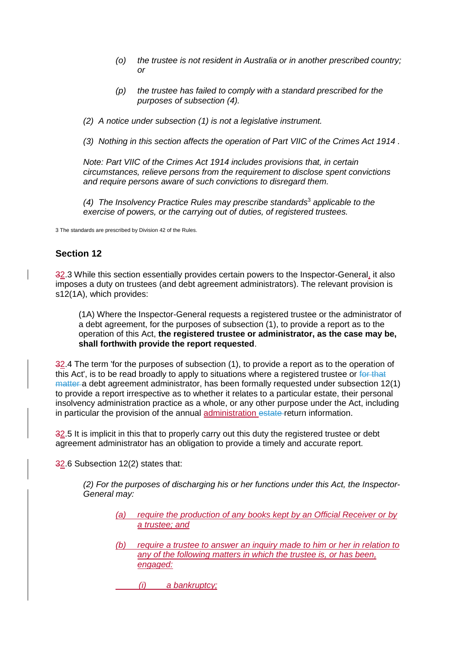- *(o) the trustee is not resident in Australia or in another prescribed country; or*
- *(p) the trustee has failed to comply with a standard prescribed for the purposes of subsection (4).*

*(2) A notice under subsection (1) is not a legislative instrument.*

*(3) Nothing in this section affects the operation of Part VIIC of the [Crimes Act 1914](https://www.legislation.gov.au/Details/C2016C01139) .*

*Note: Part VIIC of the [Crimes Act 1914 i](https://www.legislation.gov.au/Details/C2016C01139)ncludes provisions that, in certain circumstances, relieve persons from the requirement to disclose spent convictions and require persons aware of such convictions to disregard them.*

*(4) The Insolvency Practice Rules may prescribe standards*<sup>3</sup> *applicable to the exercise of powers, or the carrying out of duties, of registered trustees.* 

3 The standards are prescribed by Division 42 of the Rules.

## **Section 12**

32.3 While this section essentially provides certain powers to the Inspector-General, it also imposes a duty on trustees (and debt agreement administrators). The relevant provision is s12(1A), which provides:

(1A) Where the Inspector-General requests a registered trustee or the administrator of a debt agreement, for the purposes of subsection (1), to provide a report as to the operation of this Act, **the registered trustee or administrator, as the case may be, shall forthwith provide the report requested**.

32.4 The term 'for the purposes of subsection (1), to provide a report as to the operation of this Act', is to be read broadly to apply to situations where a registered trustee or for that matter a debt agreement administrator, has been formally requested under subsection 12(1) to provide a report irrespective as to whether it relates to a particular estate, their personal insolvency administration practice as a whole, or any other purpose under the Act, including in particular the provision of the annual administration estate return information.

32.5 It is implicit in this that to properly carry out this duty the registered trustee or debt agreement administrator has an obligation to provide a timely and accurate report.

32.6 Subsection 12(2) states that:

*(2) For the purposes of discharging his or her functions under this Act, the Inspector-General may:*

- *(a) require the production of any books kept by an Official Receiver or by a trustee; and*
- *(b) require a trustee to answer an inquiry made to him or her in relation to any of the following matters in which the trustee is, or has been, engaged:*
	- *(i) a bankruptcy;*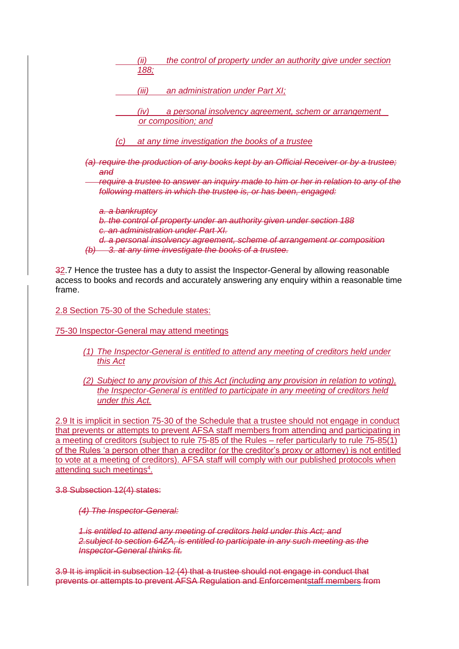|                            | ʻii)<br>188; | the control of property under an authority give under section                                                                                           |
|----------------------------|--------------|---------------------------------------------------------------------------------------------------------------------------------------------------------|
|                            | (iii)        | an administration under Part XI;                                                                                                                        |
|                            | (IV)         | a personal insolvency agreement, schem or arrangement<br>or composition; and                                                                            |
| (C)                        |              | at any time investigation the books of a trustee                                                                                                        |
|                            |              | (a) require the production of any books kept by an Official Receiver or by a trustee;                                                                   |
| and                        |              | require a trustee to answer an inquiry made to him or her in relation to any of the<br>following matters in which the trustee is, or has been, engaged: |
| <del>a. a bankruptcy</del> |              | b. the control of property under an authority given under section 188<br>an administration under Part XI.                                               |
| <del>(b)</del>             |              | d. a personal insolvency agreement, scheme of arrangement or composition<br>3. at any time investigate the books of a trustee.                          |
|                            |              | 20 7 Henes the trustee has a duty to essist the Inspector Coneral by allowing researchlo                                                                |

32.7 Hence the trustee has a duty to assist the Inspector-General by allowing reasonable access to books and records and accurately answering any enquiry within a reasonable time frame.

2.8 Section 75-30 of the Schedule states:

75-30 Inspector-General may attend meetings

- *(1) The Inspector-General is entitled to attend any meeting of creditors held under this Act*
- *(2) Subject to any provision of this Act (including any provision in relation to voting), the Inspector-General is entitled to participate in any meeting of creditors held under this Act.*

2.9 It is implicit in section 75-30 of the Schedule that a trustee should not engage in conduct that prevents or attempts to prevent AFSA staff members from attending and participating in a meeting of creditors (subject to rule 75-85 of the Rules – refer particularly to rule 75-85(1) of the Rules 'a person other than a creditor (or the creditor's proxy or attorney) is not entitled to vote at a meeting of creditors). AFSA staff will comply with our published protocols when attending such meetings<sup>4</sup>.

3.8 Subsection 12(4) states:

*(4) The Inspector-General:*

*1.is entitled to attend any meeting of creditors held under this Act; and 2.subject to section 64ZA, is entitled to participate in any such meeting as the Inspector-General thinks fit.*

3.9 It is implicit in subsection 12 (4) that a trustee should not engage in conduct that prevents or attempts to prevent AFSA Regulation and Enforcementstaff members from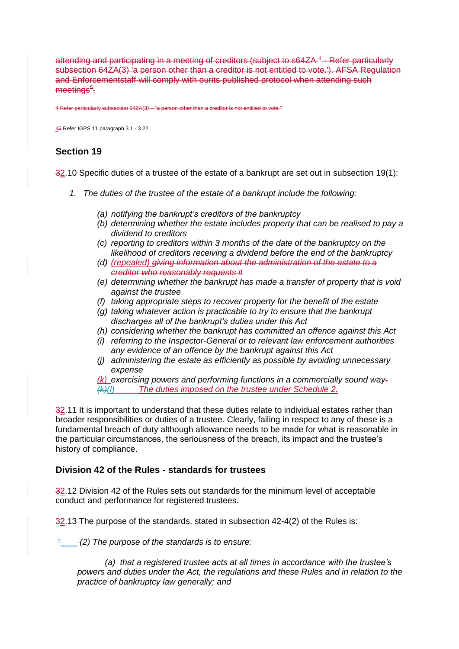attending and participating in a meeting of creditors (subject to s64ZA<sup>4</sup> - Refer particularly subsection 64ZA(3) 'a person other than a creditor is not entitled to vote.'). AFSA Regulation and Enforcementstaff will comply with ourits published protocol when attending such meetings<sup>s</sup>.

er particularly subsection 64ZA(3) – "a person other than a creditor is not entitled to vote."

45 Refer IGPS 11 paragraph 3.1 - 3.22

## **Section 19**

32.10 Specific duties of a trustee of the estate of a bankrupt are set out in subsection 19(1):

- *1. The duties of the trustee of the estate of a bankrupt include the following:*
	- *(a) notifying the bankrupt's creditors of the bankruptcy*
	- *(b) determining whether the estate includes property that can be realised to pay a dividend to creditors*
	- *(c) reporting to creditors within 3 months of the date of the bankruptcy on the likelihood of creditors receiving a dividend before the end of the bankruptcy*
	- *(d) (repealed) giving information about the administration of the estate to a creditor who reasonably requests it*
	- *(e) determining whether the bankrupt has made a transfer of property that is void against the trustee*
	- *(f) taking appropriate steps to recover property for the benefit of the estate*
	- *(g) taking whatever action is practicable to try to ensure that the bankrupt discharges all of the bankrupt's duties under this Act*
	- *(h) considering whether the bankrupt has committed an offence against this Act*
	- *(i) referring to the Inspector-General or to relevant law enforcement authorities any evidence of an offence by the bankrupt against this Act*
	- *(j) administering the estate as efficiently as possible by avoiding unnecessary expense*

*(k) exercising powers and performing functions in a commercially sound way. (k)(l) The duties imposed on the trustee under Schedule 2.*

32.11 It is important to understand that these duties relate to individual estates rather than broader responsibilities or duties of a trustee. Clearly, failing in respect to any of these is a fundamental breach of duty although allowance needs to be made for what is reasonable in the particular circumstances, the seriousness of the breach, its impact and the trustee's history of compliance.

## **Division 42 of the Rules - standards for trustees**

32.12 Division 42 of the Rules sets out standards for the minimum level of acceptable conduct and performance for registered trustees.

32.13 The purpose of the standards, stated in subsection 42-4(2) of the Rules is:

" *(2) The purpose of the standards is to ensure:*

 *(a) that a registered trustee acts at all times in accordance with the trustee's powers and duties under the Act, the regulations and these Rules and in relation to the practice of bankruptcy law generally; and*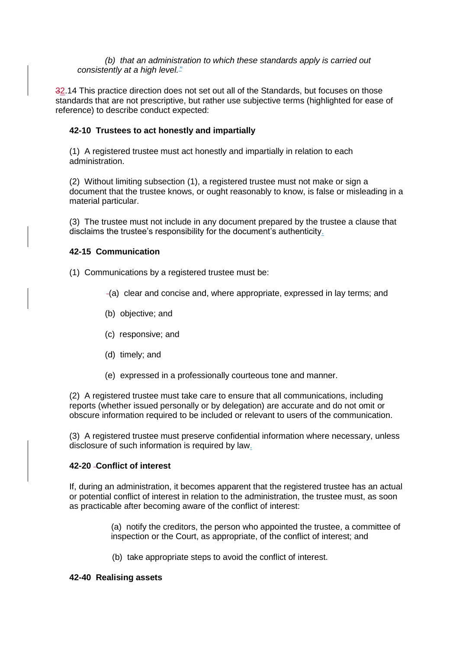*(b) that an administration to which these standards apply is carried out consistently at a high level."*

32.14 This practice direction does not set out all of the Standards, but focuses on those standards that are not prescriptive, but rather use subjective terms (highlighted for ease of reference) to describe conduct expected:

## **42-10 Trustees to act honestly and impartially**

(1) A registered trustee must act honestly and impartially in relation to each administration.

(2) Without limiting subsection (1), a registered trustee must not make or sign a document that the trustee knows, or ought reasonably to know, is false or misleading in a material particular.

(3) The trustee must not include in any document prepared by the trustee a clause that disclaims the trustee's responsibility for the document's authenticity.

## **42-15 Communication**

(1) Communications by a registered trustee must be:

- (a) clear and concise and, where appropriate, expressed in lay terms; and
- (b) objective; and
- (c) responsive; and
- (d) timely; and
- (e) expressed in a professionally courteous tone and manner.

(2) A registered trustee must take care to ensure that all communications, including reports (whether issued personally or by delegation) are accurate and do not omit or obscure information required to be included or relevant to users of the communication.

(3) A registered trustee must preserve confidential information where necessary, unless disclosure of such information is required by law.

## **42-20 Conflict of interest**

If, during an administration, it becomes apparent that the registered trustee has an actual or potential conflict of interest in relation to the administration, the trustee must, as soon as practicable after becoming aware of the conflict of interest:

> (a) notify the creditors, the person who appointed the trustee, a committee of inspection or the Court, as appropriate, of the conflict of interest; and

(b) take appropriate steps to avoid the conflict of interest.

## **42-40 Realising assets**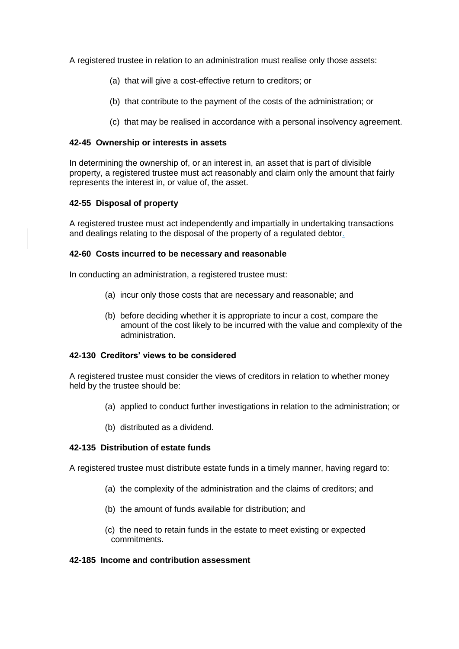A registered trustee in relation to an administration must realise only those assets:

- (a) that will give a cost-effective return to creditors; or
- (b) that contribute to the payment of the costs of the administration; or
- (c) that may be realised in accordance with a personal insolvency agreement.

#### **42-45 Ownership or interests in assets**

In determining the ownership of, or an interest in, an asset that is part of divisible property, a registered trustee must act reasonably and claim only the amount that fairly represents the interest in, or value of, the asset.

#### **42-55 Disposal of property**

A registered trustee must act independently and impartially in undertaking transactions and dealings relating to the disposal of the property of a regulated debtor.

#### **42-60 Costs incurred to be necessary and reasonable**

In conducting an administration, a registered trustee must:

- (a) incur only those costs that are necessary and reasonable; and
- (b) before deciding whether it is appropriate to incur a cost, compare the amount of the cost likely to be incurred with the value and complexity of the administration.

#### **42-130 Creditors' views to be considered**

A registered trustee must consider the views of creditors in relation to whether money held by the trustee should be:

- (a) applied to conduct further investigations in relation to the administration; or
- (b) distributed as a dividend.

## **42-135 Distribution of estate funds**

A registered trustee must distribute estate funds in a timely manner, having regard to:

- (a) the complexity of the administration and the claims of creditors; and
- (b) the amount of funds available for distribution; and
- (c) the need to retain funds in the estate to meet existing or expected commitments.

#### **42-185 Income and contribution assessment**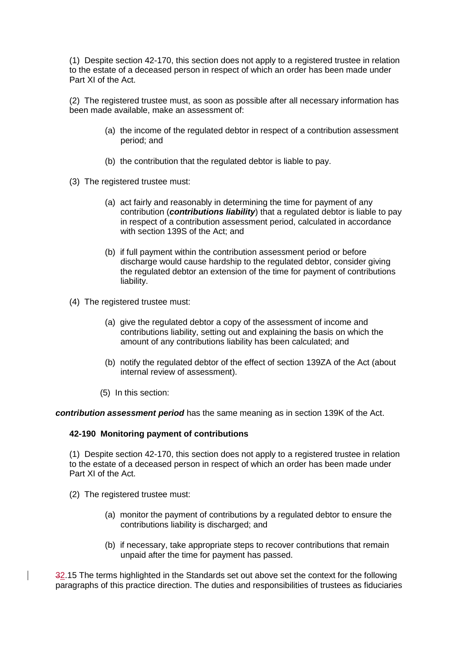(1) Despite section 42-170, this section does not apply to a registered trustee in relation to the estate of a deceased person in respect of which an order has been made under Part XI of the Act.

(2) The registered trustee must, as soon as possible after all necessary information has been made available, make an assessment of:

- (a) the income of the regulated debtor in respect of a contribution assessment period; and
- (b) the contribution that the regulated debtor is liable to pay.
- (3) The registered trustee must:
	- (a) act fairly and reasonably in determining the time for payment of any contribution (*contributions liability*) that a regulated debtor is liable to pay in respect of a contribution assessment period, calculated in accordance with section 139S of the Act; and
	- (b) if full payment within the contribution assessment period or before discharge would cause hardship to the regulated debtor, consider giving the regulated debtor an extension of the time for payment of contributions liability.
- (4) The registered trustee must:
	- (a) give the regulated debtor a copy of the assessment of income and contributions liability, setting out and explaining the basis on which the amount of any contributions liability has been calculated; and
	- (b) notify the regulated debtor of the effect of section 139ZA of the Act (about internal review of assessment).
	- (5) In this section:

*contribution assessment period* has the same meaning as in section 139K of the Act.

#### **42-190 Monitoring payment of contributions**

(1) Despite section 42-170, this section does not apply to a registered trustee in relation to the estate of a deceased person in respect of which an order has been made under Part XI of the Act.

- (2) The registered trustee must:
	- (a) monitor the payment of contributions by a regulated debtor to ensure the contributions liability is discharged; and
	- (b) if necessary, take appropriate steps to recover contributions that remain unpaid after the time for payment has passed.

32.15 The terms highlighted in the Standards set out above set the context for the following paragraphs of this practice direction. The duties and responsibilities of trustees as fiduciaries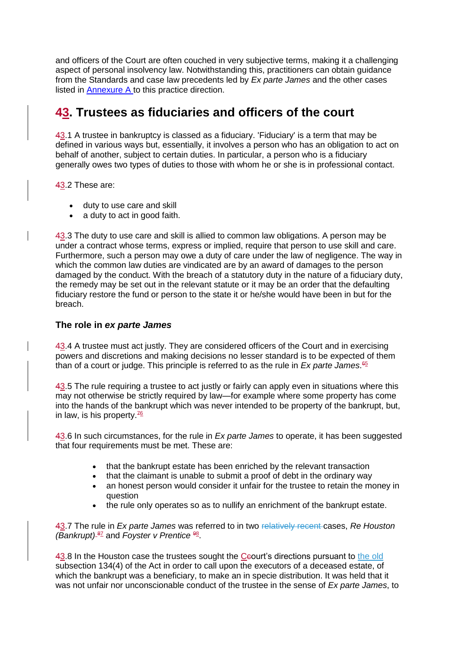and officers of the Court are often couched in very subjective terms, making it a challenging aspect of personal insolvency law. Notwithstanding this, practitioners can obtain guidance from the Standards and case law precedents led by *Ex parte James* and the other cases listed in Annexure A to this practice direction.

## **43. Trustees as fiduciaries and officers of the court**

43.1 A trustee in bankruptcy is classed as a fiduciary. 'Fiduciary' is a term that may be defined in various ways but, essentially, it involves a person who has an obligation to act on behalf of another, subject to certain duties. In particular, a person who is a fiduciary generally owes two types of duties to those with whom he or she is in professional contact.

43.2 These are:

- duty to use care and skill
- a duty to act in good faith.

43.3 The duty to use care and skill is allied to common law obligations. A person may be under a contract whose terms, express or implied, require that person to use skill and care. Furthermore, such a person may owe a duty of care under the law of negligence. The way in which the common law duties are vindicated are by an award of damages to the person damaged by the conduct. With the breach of a statutory duty in the nature of a fiduciary duty, the remedy may be set out in the relevant statute or it may be an order that the defaulting fiduciary restore the fund or person to the state it or he/she would have been in but for the breach.

## **The role in** *ex parte James*

43.4 A trustee must act justly. They are considered officers of the Court and in exercising powers and discretions and making decisions no lesser standard is to be expected of them than of a court or judge. This principle is referred to as the rule in *Ex parte James*. 65

43.5 The rule requiring a trustee to act justly or fairly can apply even in situations where this may not otherwise be strictly required by law—for example where some property has come into the hands of the bankrupt which was never intended to be property of the bankrupt, but, in law, is his property.<sup>76</sup>

43.6 In such circumstances, for the rule in *Ex parte James* to operate, it has been suggested that four requirements must be met. These are:

- that the bankrupt estate has been enriched by the relevant transaction
- that the claimant is unable to submit a proof of debt in the ordinary way
- an honest person would consider it unfair for the trustee to retain the money in question
- the rule only operates so as to nullify an enrichment of the bankrupt estate.

43.7 The rule in *Ex parte James* was referred to in two relatively recent cases, *Re Houston*  (Bankrupt)<sup>87</sup> and *Foyster v Prentice*<sup>98</sup>.

43.8 In the Houston case the trustees sought the Ceourt's directions pursuant to the old subsection 134(4) of the Act in order to call upon the executors of a deceased estate, of which the bankrupt was a beneficiary, to make an in specie distribution. It was held that it was not unfair nor unconscionable conduct of the trustee in the sense of *Ex parte James*, to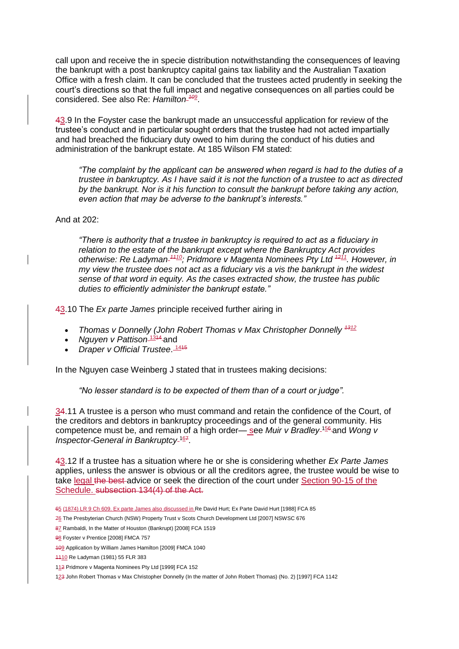call upon and receive the in specie distribution notwithstanding the consequences of leaving the bankrupt with a post bankruptcy capital gains tax liability and the Australian Taxation Office with a fresh claim. It can be concluded that the trustees acted prudently in seeking the court's directions so that the full impact and negative consequences on all parties could be considered. See also Re: *Hamilton <sup>109</sup>* .

43.9 In the Foyster case the bankrupt made an unsuccessful application for review of the trustee's conduct and in particular sought orders that the trustee had not acted impartially and had breached the fiduciary duty owed to him during the conduct of his duties and administration of the bankrupt estate. At 185 Wilson FM stated:

*"The complaint by the applicant can be answered when regard is had to the duties of a trustee in bankruptcy. As I have said it is not the function of a trustee to act as directed by the bankrupt. Nor is it his function to consult the bankrupt before taking any action, even action that may be adverse to the bankrupt's interests."*

And at  $202$ 

*"There is authority that a trustee in bankruptcy is required to act as a fiduciary in relation to the estate of the bankrupt except where the Bankruptcy Act provides otherwise: Re Ladyman <sup>1110</sup>; Pridmore v Magenta Nominees Pty Ltd <sup>1211</sup>. However, in my view the trustee does not act as a fiduciary vis a vis the bankrupt in the widest sense of that word in equity. As the cases extracted show, the trustee has public duties to efficiently administer the bankrupt estate."*

43.10 The *Ex parte James* principle received further airing in

- *Thomas v Donnelly (John Robert Thomas v Max Christopher Donnelly*  $4312$
- *Nguyen v Pattison*<sup>1344</sup>-and
- *Draper v Official Trustee*. 1415

In the Nguyen case Weinberg J stated that in trustees making decisions:

*"No lesser standard is to be expected of them than of a court or judge".*

34.11 A trustee is a person who must command and retain the confidence of the Court, of the creditors and debtors in bankruptcy proceedings and of the general community. His competence must be, and remain of a high order— see *Muir v Bradley*<sup>-156</sup> and *Wong v* Inspector-General in Bankruptcy-<sup>167</sup>.

43.12 If a trustee has a situation where he or she is considering whether *Ex Parte James*  applies, unless the answer is obvious or all the creditors agree, the trustee would be wise to take legal the best-advice or seek the direction of the court under Section 90-15 of the Schedule. subsection 134(4) of the Act.

- 65 (1874) LR 9 Ch 609. Ex parte James also discussed in Re David Hurt; Ex Parte David Hurt [1988] FCA 85
- 76 The Presbyterian Church (NSW) Property Trust v Scots Church Development Ltd [2007] NSWSC 676

123 John Robert Thomas v Max Christopher Donnelly (In the matter of John Robert Thomas) (No. 2) [1997] FCA 1142

<sup>87</sup> Rambaldi, In the Matter of Houston (Bankrupt) [2008] FCA 1519

<sup>98</sup> Foyster v Prentice [2008] FMCA 757

<sup>109</sup> Application by William James Hamilton [2009] FMCA 1040

<sup>1110</sup> Re Ladyman (1981) 55 FLR 383

<sup>112</sup> Pridmore v Magenta Nominees Pty Ltd [1999] FCA 152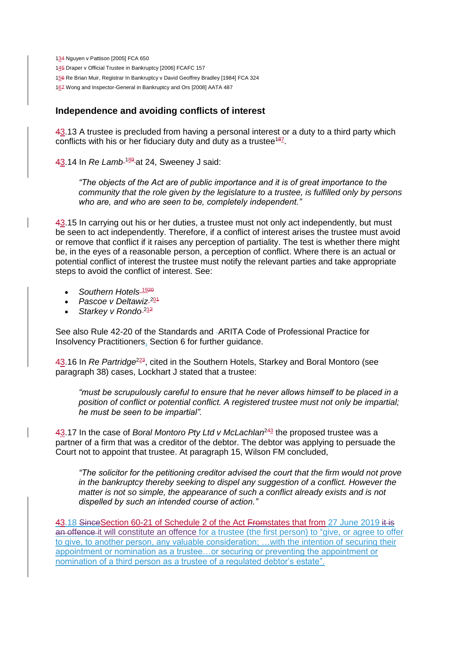Nguyen v Pattison [2005] FCA 650 Draper v Official Trustee in Bankruptcy [2006] FCAFC 157 Re Brian Muir, Registrar In Bankruptcy v David Geoffrey Bradley [1984] FCA 324 167 Wong and Inspector-General in Bankruptcy and Ors [2008] AATA 487

## **Independence and avoiding conflicts of interest**

43.13 A trustee is precluded from having a personal interest or a duty to a third party which conflicts with his or her fiduciary duty and duty as a trustee<sup>187</sup>.

43.14 In *Re Lamb*<sup>189</sup> at 24, Sweeney J said:

*"The objects of the Act are of public importance and it is of great importance to the community that the role given by the legislature to a trustee, is fulfilled only by persons who are, and who are seen to be, completely independent."* 

43.15 In carrying out his or her duties, a trustee must not only act independently, but must be seen to act independently. Therefore, if a conflict of interest arises the trustee must avoid or remove that conflict if it raises any perception of partiality. The test is whether there might be, in the eyes of a reasonable person, a perception of conflict. Where there is an actual or potential conflict of interest the trustee must notify the relevant parties and take appropriate steps to avoid the conflict of interest. See:

- Southern Hotels<sup>1920</sup>
- *Pascoe v Deltawiz* <sup>201</sup>
- **Starkey v Rondo**<sup>212</sup>

See also Rule 42-20 of the Standards and ARITA Code of Professional Practice for Insolvency Practitioners, Section 6 for further guidance.

43.16 In *Re Partridge<sup>223</sup>*, cited in the Southern Hotels, Starkey and Boral Montoro (see paragraph 38) cases, Lockhart J stated that a trustee:

*"must be scrupulously careful to ensure that he never allows himself to be placed in a position of conflict or potential conflict. A registered trustee must not only be impartial; he must be seen to be impartial".*

43.17 In the case of *Boral Montoro Pty Ltd v McLachlan<sup>243</sup>* the proposed trustee was a partner of a firm that was a creditor of the debtor. The debtor was applying to persuade the Court not to appoint that trustee. At paragraph 15, Wilson FM concluded,

*"The solicitor for the petitioning creditor advised the court that the firm would not prove in the bankruptcy thereby seeking to dispel any suggestion of a conflict. However the matter is not so simple, the appearance of such a conflict already exists and is not dispelled by such an intended course of action."*

43.18 SinceSection 60-21 of Schedule 2 of the Act Fromstates that from 27 June 2019 it is an offence it will constitute an offence for a trustee (the first person) to "give, or agree to offer to give, to another person, any valuable consideration; …with the intention of securing their appointment or nomination as a trustee…or securing or preventing the appointment or nomination of a third person as a trustee of a regulated debtor's estate".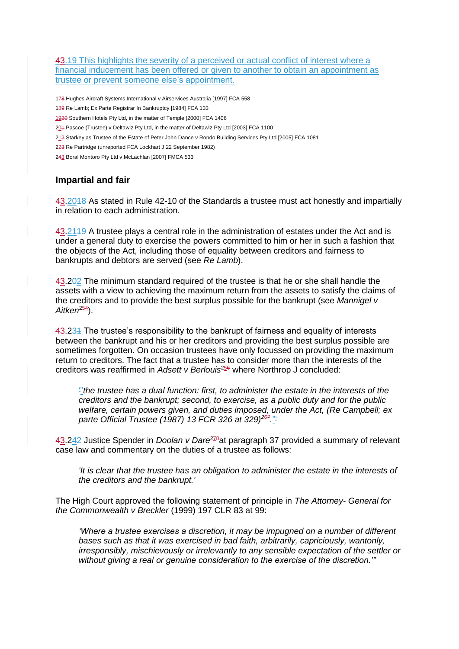43.19 This highlights the severity of a perceived or actual conflict of interest where a financial inducement has been offered or given to another to obtain an appointment as trustee or prevent someone else's appointment.

 Hughes Aircraft Systems International v Airservices Australia [1997] FCA 558 Re Lamb; Ex Parte Registrar In Bankruptcy [1984] FCA 133 Southern Hotels Pty Ltd, in the matter of Temple [2000] FCA 1406 Pascoe (Trustee) v Deltawiz Pty Ltd, in the matter of Deltawiz Pty Ltd [2003] FCA 1100 Starkey as Trustee of the Estate of Peter John Dance v Rondo Building Services Pty Ltd [2005] FCA 1081 Re Partridge (unreported FCA Lockhart J 22 September 1982) Boral Montoro Pty Ltd v McLachlan [2007] FMCA 533

## **Impartial and fair**

43.2018 As stated in Rule 42-10 of the Standards a trustee must act honestly and impartially in relation to each administration.

43.2119 A trustee plays a central role in the administration of estates under the Act and is under a general duty to exercise the powers committed to him or her in such a fashion that the objects of the Act, including those of equality between creditors and fairness to bankrupts and debtors are served (see *Re Lamb*).

43.202 The minimum standard required of the trustee is that he or she shall handle the assets with a view to achieving the maximum return from the assets to satisfy the claims of the creditors and to provide the best surplus possible for the bankrupt (see *Mannigel v*  Aitken<sup>254</sup>).

43.231 The trustee's responsibility to the bankrupt of fairness and equality of interests between the bankrupt and his or her creditors and providing the best surplus possible are sometimes forgotten. On occasion trustees have only focussed on providing the maximum return to creditors. The fact that a trustee has to consider more than the interests of the creditors was reaffirmed in *Adsett v Berlouis*<sup>256</sup> where Northrop J concluded:

'"*the trustee has a dual function: first, to administer the estate in the interests of the creditors and the bankrupt; second, to exercise, as a public duty and for the public welfare, certain powers given, and duties imposed, under the Act, (Re Campbell; ex parte Official Trustee (1987) 13 FCR 326 at 329)<sup>267</sup> .*"'

43.242 Justice Spender in *Doolan v Dare<sup>278</sup>at paragraph* 37 provided a summary of relevant case law and commentary on the duties of a trustee as follows:

*'It is clear that the trustee has an obligation to administer the estate in the interests of the creditors and the bankrupt.'*

The High Court approved the following statement of principle in *The Attorney- General for the Commonwealth v Breckler* (1999) 197 CLR 83 at 99:

*'Where a trustee exercises a discretion, it may be impugned on a number of different bases such as that it was exercised in bad faith, arbitrarily, capriciously, wantonly, irresponsibly, mischievously or irrelevantly to any sensible expectation of the settler or without giving a real or genuine consideration to the exercise of the discretion.'"*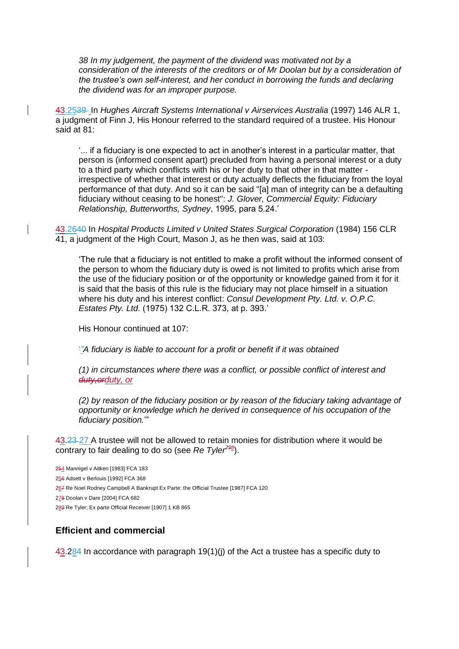*38 In my judgement, the payment of the dividend was motivated not by a consideration of the interests of the creditors or of Mr Doolan but by a consideration of the trustee's own self-interest, and her conduct in borrowing the funds and declaring the dividend was for an improper purpose.*

43.2539 In *Hughes Aircraft Systems International v Airservices Australia* (1997) 146 ALR 1, a judgment of Finn J, His Honour referred to the standard required of a trustee. His Honour said at 81:

'... if a fiduciary is one expected to act in another's interest in a particular matter, that person is (informed consent apart) precluded from having a personal interest or a duty to a third party which conflicts with his or her duty to that other in that matter irrespective of whether that interest or duty actually deflects the fiduciary from the loyal performance of that duty. And so it can be said "[a] man of integrity can be a defaulting fiduciary without ceasing to be honest": *J. Glover, Commercial Equity: Fiduciary Relationship, Butterworths, Sydney*, 1995, para 5.24.'

43.2640 In *Hospital Products Limited v United States Surgical Corporation* (1984) 156 CLR 41, a judgment of the High Court, Mason J, as he then was, said at 103:

'The rule that a fiduciary is not entitled to make a profit without the informed consent of the person to whom the fiduciary duty is owed is not limited to profits which arise from the use of the fiduciary position or of the opportunity or knowledge gained from it for it is said that the basis of this rule is the fiduciary may not place himself in a situation where his duty and his interest conflict: *Consul Development Pty. Ltd. v. O.P.C. Estates Pty. Ltd.* (1975) 132 C.L.R. 373, at p. 393.'

His Honour continued at 107:

'*"A fiduciary is liable to account for a profit or benefit if it was obtained*

*(1) in circumstances where there was a conflict, or possible conflict of interest and duty,orduty, or*

*(2) by reason of the fiduciary position or by reason of the fiduciary taking advantage of opportunity or knowledge which he derived in consequence of his occupation of the fiduciary position.*'"

43.23 27 A trustee will not be allowed to retain monies for distribution where it would be contrary to fair dealing to do so (see *Re Tyler<sup>298</sup>* ).

254 Mannigel v Aitken [1983] FCA 183 256 Adsett v Berlouis [1992] FCA 368 267 Re Noel Rodney Campbell A Bankrupt Ex Parte: the Official Trustee [1987] FCA 120 278 Doolan v Dare [2004] FCA 682 289 Re Tyler; Ex parte Official Receiver [1907] 1 KB 865

## **Efficient and commercial**

 $43.284$  In accordance with paragraph 19(1)(j) of the Act a trustee has a specific duty to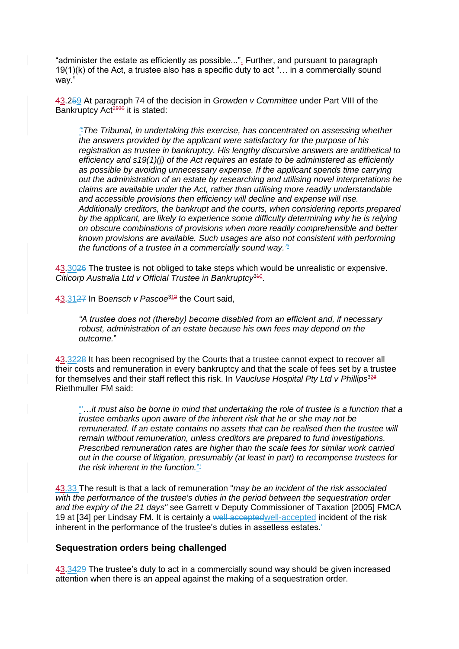"administer the estate as efficiently as possible...". Further, and pursuant to paragraph 19(1)(k) of the Act, a trustee also has a specific duty to act "… in a commercially sound way."

43.259 At paragraph 74 of the decision in *Growden v Committee* under Part VIII of the Bankruptcy Act $2930$  it is stated:

*"'The Tribunal, in undertaking this exercise, has concentrated on assessing whether the answers provided by the applicant were satisfactory for the purpose of his registration as trustee in bankruptcy. His lengthy discursive answers are antithetical to efficiency and s19(1)(j) of the Act requires an estate to be administered as efficiently as possible by avoiding unnecessary expense. If the applicant spends time carrying out the administration of an estate by researching and utilising novel interpretations he claims are available under the Act, rather than utilising more readily understandable and accessible provisions then efficiency will decline and expense will rise. Additionally creditors, the bankrupt and the courts, when considering reports prepared by the applicant, are likely to experience some difficulty determining why he is relying on obscure combinations of provisions when more readily comprehensible and better known provisions are available. Such usages are also not consistent with performing the functions of a trustee in a commercially sound way."'*

43.3026 The trustee is not obliged to take steps which would be unrealistic or expensive. Citicorp Australia Ltd v Official Trustee in Bankruptcy<sup>340</sup>.

43.3127 In Boensch v Pascoe<sup>312</sup> the Court said,

*"A trustee does not (thereby) become disabled from an efficient and, if necessary robust, administration of an estate because his own fees may depend on the outcome.*"

43.3228 It has been recognised by the Courts that a trustee cannot expect to recover all their costs and remuneration in every bankruptcy and that the scale of fees set by a trustee for themselves and their staff reflect this risk. In *Vaucluse Hospital Pty Ltd v Phillips*<sup>323</sup> Riethmuller FM said:

"'…*it must also be borne in mind that undertaking the role of trustee is a function that a trustee embarks upon aware of the inherent risk that he or she may not be remunerated. If an estate contains no assets that can be realised then the trustee will remain without remuneration, unless creditors are prepared to fund investigations. Prescribed remuneration rates are higher than the scale fees for similar work carried out in the course of litigation, presumably (at least in part) to recompense trustees for the risk inherent in the function.*"'

43.33 The result is that a lack of remuneration "*may be an incident of the risk associated with the performance of the trustee's duties in the period between the sequestration order and the expiry of the 21 days"* see Garrett v Deputy Commissioner of Taxation [2005] FMCA 19 at [34] per Lindsay FM. It is certainly a well accepted well-accepted incident of the risk inherent in the performance of the trustee's duties in assetless estates.<sup>1</sup>

#### **Sequestration orders being challenged**

43.3429 The trustee's duty to act in a commercially sound way should be given increased attention when there is an appeal against the making of a sequestration order.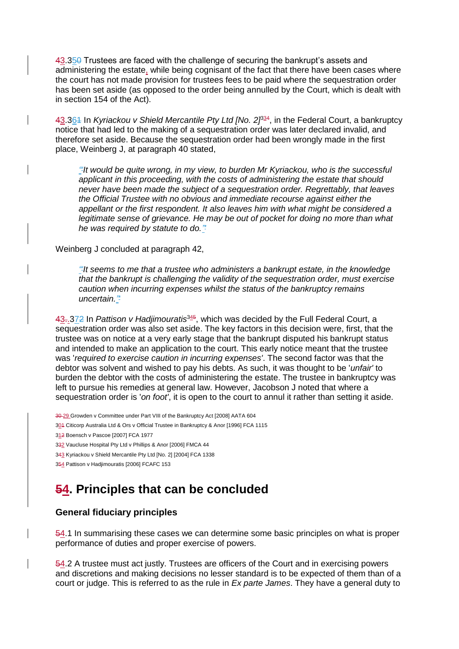43.350 Trustees are faced with the challenge of securing the bankrupt's assets and administering the estate, while being cognisant of the fact that there have been cases where the court has not made provision for trustees fees to be paid where the sequestration order has been set aside (as opposed to the order being annulled by the Court, which is dealt with in section 154 of the Act).

43.364 In *Kyriackou v Shield Mercantile Pty Ltd [No. 2]*<sup>34</sup>, in the Federal Court, a bankruptcy notice that had led to the making of a sequestration order was later declared invalid, and therefore set aside. Because the sequestration order had been wrongly made in the first place, Weinberg J, at paragraph 40 stated,

*"'It would be quite wrong, in my view, to burden Mr Kyriackou, who is the successful applicant in this proceeding, with the costs of administering the estate that should never have been made the subject of a sequestration order. Regrettably, that leaves the Official Trustee with no obvious and immediate recourse against either the appellant or the first respondent. It also leaves him with what might be considered a legitimate sense of grievance. He may be out of pocket for doing no more than what he was required by statute to do."'*

Weinberg J concluded at paragraph 42,

*"'It seems to me that a trustee who administers a bankrupt estate, in the knowledge that the bankrupt is challenging the validity of the sequestration order, must exercise caution when incurring expenses whilst the status of the bankruptcy remains uncertain."'*

43-.372 In Pattison v Hadjimouratis<sup>345</sup>, which was decided by the Full Federal Court, a sequestration order was also set aside. The key factors in this decision were, first, that the trustee was on notice at a very early stage that the bankrupt disputed his bankrupt status and intended to make an application to the court. This early notice meant that the trustee was '*required to exercise caution in incurring expenses'*. The second factor was that the debtor was solvent and wished to pay his debts. As such, it was thought to be '*unfair'* to burden the debtor with the costs of administering the estate. The trustee in bankruptcy was left to pursue his remedies at general law. However, Jacobson J noted that where a sequestration order is '*on foot'*, it is open to the court to annul it rather than setting it aside.

30 29 Growden v Committee under Part VIII of the Bankruptcy Act [2008] AATA 604

304 Citicorp Australia Ltd & Ors v Official Trustee in Bankruptcy & Anor [1996] FCA 1115

312 Boensch v Pascoe [2007] FCA 1977

332 Vaucluse Hospital Pty Ltd v Phillips & Anor [2006] FMCA 44

343 Kyriackou v Shield Mercantile Pty Ltd [No. 2] [2004] FCA 1338

354 Pattison v Hadjimouratis [2006] FCAFC 153

## **54. Principles that can be concluded**

## **General fiduciary principles**

54.1 In summarising these cases we can determine some basic principles on what is proper performance of duties and proper exercise of powers.

54.2 A trustee must act justly. Trustees are officers of the Court and in exercising powers and discretions and making decisions no lesser standard is to be expected of them than of a court or judge. This is referred to as the rule in *Ex parte James*. They have a general duty to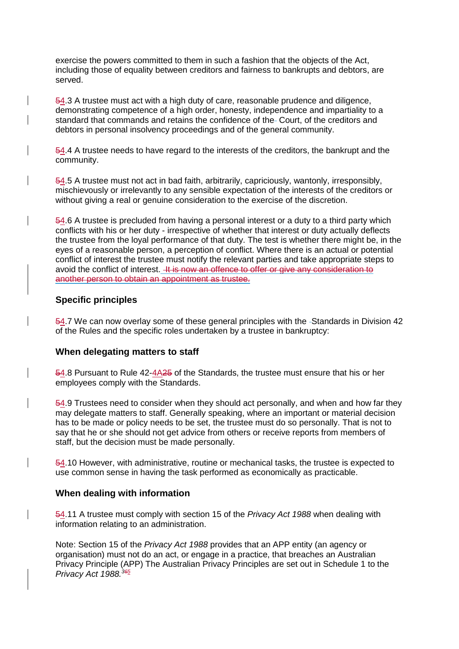exercise the powers committed to them in such a fashion that the objects of the Act, including those of equality between creditors and fairness to bankrupts and debtors, are served.

54.3 A trustee must act with a high duty of care, reasonable prudence and diligence, demonstrating competence of a high order, honesty, independence and impartiality to a standard that commands and retains the confidence of the Court, of the creditors and debtors in personal insolvency proceedings and of the general community.

54.4 A trustee needs to have regard to the interests of the creditors, the bankrupt and the community.

54.5 A trustee must not act in bad faith, arbitrarily, capriciously, wantonly, irresponsibly, mischievously or irrelevantly to any sensible expectation of the interests of the creditors or without giving a real or genuine consideration to the exercise of the discretion.

54.6 A trustee is precluded from having a personal interest or a duty to a third party which conflicts with his or her duty - irrespective of whether that interest or duty actually deflects the trustee from the loyal performance of that duty. The test is whether there might be, in the eyes of a reasonable person, a perception of conflict. Where there is an actual or potential conflict of interest the trustee must notify the relevant parties and take appropriate steps to avoid the conflict of interest. He now an offence to offer or give any consideration to another person to obtain an appointment as trustee.

## **Specific principles**

54.7 We can now overlay some of these general principles with the Standards in Division 42 of the Rules and the specific roles undertaken by a trustee in bankruptcy:

## **When delegating matters to staff**

54.8 Pursuant to Rule 42-4A25 of the Standards, the trustee must ensure that his or her employees comply with the Standards.

54.9 Trustees need to consider when they should act personally, and when and how far they may delegate matters to staff. Generally speaking, where an important or material decision has to be made or policy needs to be set, the trustee must do so personally. That is not to say that he or she should not get advice from others or receive reports from members of staff, but the decision must be made personally.

54.10 However, with administrative, routine or mechanical tasks, the trustee is expected to use common sense in having the task performed as economically as practicable.

## **When dealing with information**

54.11 A trustee must comply with section 15 of the *Privacy Act 1988* when dealing with information relating to an administration.

Note: Section 15 of the *Privacy Act 1988* provides that an APP entity (an agency or organisation) must not do an act, or engage in a practice, that breaches an Australian Privacy Principle (APP) The Australian Privacy Principles are set out in Schedule 1 to the *Privacy Act 1988.<sup>365</sup>*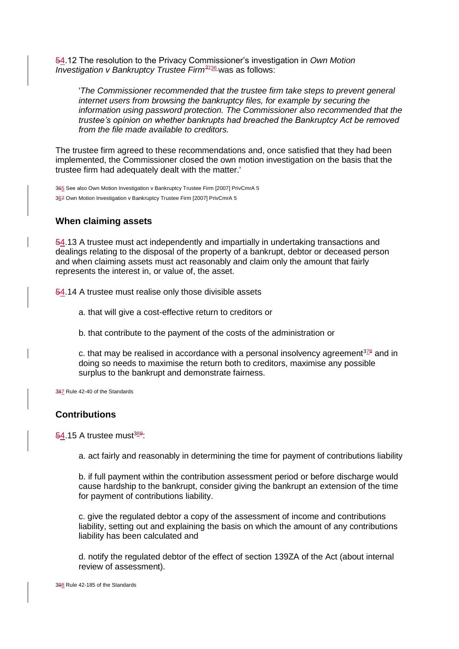54.12 The resolution to the Privacy Commissioner's investigation in *Own Motion Investigation v Bankruptcy Trustee Firm<sup>3</sup>*<sup>736</sup> was as follows:

'*The Commissioner recommended that the trustee firm take steps to prevent general internet users from browsing the bankruptcy files, for example by securing the information using password protection. The Commissioner also recommended that the trustee's opinion on whether bankrupts had breached the Bankruptcy Act be removed from the file made available to creditors.*

The trustee firm agreed to these recommendations and, once satisfied that they had been implemented, the Commissioner closed the own motion investigation on the basis that the trustee firm had adequately dealt with the matter.'

365 See also Own Motion Investigation v Bankruptcy Trustee Firm [2007] PrivCmrA 5 367 Own Motion Investigation v Bankruptcy Trustee Firm [2007] PrivCmrA 5

## **When claiming assets**

54.13 A trustee must act independently and impartially in undertaking transactions and dealings relating to the disposal of the property of a bankrupt, debtor or deceased person and when claiming assets must act reasonably and claim only the amount that fairly represents the interest in, or value of, the asset.

54.14 A trustee must realise only those divisible assets

- a. that will give a cost-effective return to creditors or
- b. that contribute to the payment of the costs of the administration or

c. that may be realised in accordance with a personal insolvency agreement $328$  and in doing so needs to maximise the return both to creditors, maximise any possible surplus to the bankrupt and demonstrate fairness.

387 Rule 42-40 of the Standards

## **Contributions**

54.15 A trustee must<sup>389</sup>

a. act fairly and reasonably in determining the time for payment of contributions liability

b. if full payment within the contribution assessment period or before discharge would cause hardship to the bankrupt, consider giving the bankrupt an extension of the time for payment of contributions liability.

c. give the regulated debtor a copy of the assessment of income and contributions liability, setting out and explaining the basis on which the amount of any contributions liability has been calculated and

d. notify the regulated debtor of the effect of section 139ZA of the Act (about internal review of assessment).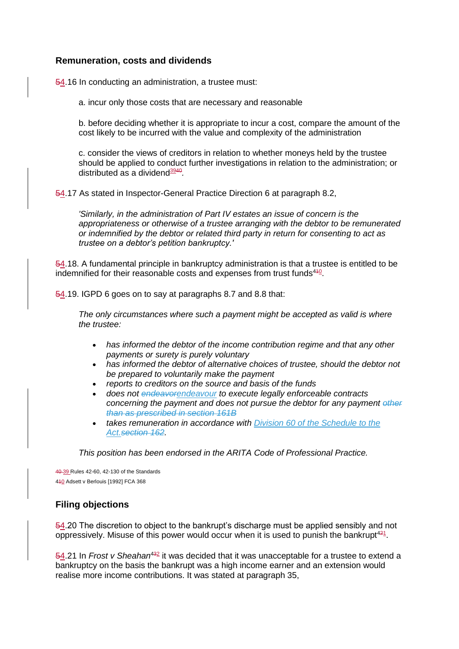## **Remuneration, costs and dividends**

54.16 In conducting an administration, a trustee must:

a. incur only those costs that are necessary and reasonable

b. before deciding whether it is appropriate to incur a cost, compare the amount of the cost likely to be incurred with the value and complexity of the administration

c. consider the views of creditors in relation to whether moneys held by the trustee should be applied to conduct further investigations in relation to the administration; or distributed as a dividend<sup>3940</sup>.

54.17 As stated in Inspector-General Practice Direction 6 at paragraph 8.2,

*'Similarly, in the administration of Part IV estates an issue of concern is the appropriateness or otherwise of a trustee arranging with the debtor to be remunerated or indemnified by the debtor or related third party in return for consenting to act as trustee on a debtor's petition bankruptcy.'*

54.18. A fundamental principle in bankruptcy administration is that a trustee is entitled to be indemnified for their reasonable costs and expenses from trust funds<sup>440</sup>.

54.19. IGPD 6 goes on to say at paragraphs 8.7 and 8.8 that:

*The only circumstances where such a payment might be accepted as valid is where the trustee:* 

- *has informed the debtor of the income contribution regime and that any other payments or surety is purely voluntary*
- *has informed the debtor of alternative choices of trustee, should the debtor not be prepared to voluntarily make the payment*
- *reports to creditors on the source and basis of the funds*
- *does not endeavorendeavour to execute legally enforceable contracts concerning the payment and does not pursue the debtor for any payment other than as prescribed in section 161B*
- *takes remuneration in accordance with Division 60 of the Schedule to the Act.section 162.*

*This position has been endorsed in the ARITA Code of Professional Practice.*

40 39 Rules 42-60, 42-130 of the Standards 410 Adsett v Berlouis [1992] FCA 368

## **Filing objections**

54.20 The discretion to object to the bankrupt's discharge must be applied sensibly and not oppressively. Misuse of this power would occur when it is used to punish the bankrupt $421$ .

54.21 In *Frost v Sheahan<sup>432</sup>* it was decided that it was unacceptable for a trustee to extend a bankruptcy on the basis the bankrupt was a high income earner and an extension would realise more income contributions. It was stated at paragraph 35,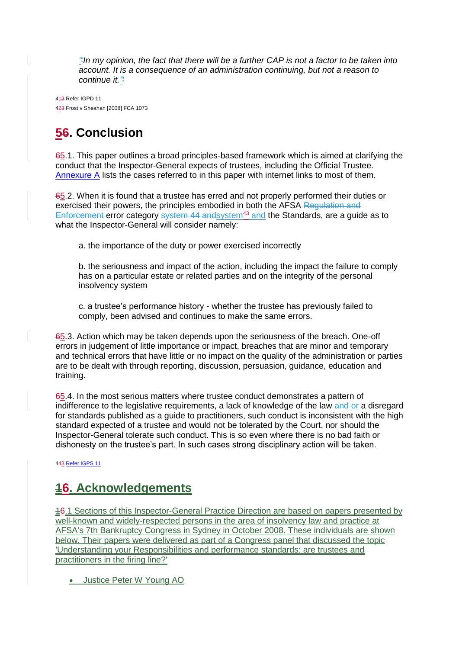*"'In my opinion, the fact that there will be a further CAP is not a factor to be taken into account. It is a consequence of an administration continuing, but not a reason to continue it."'*

412 Refer IGPD 11 423 Frost v Sheahan [2008] FCA 1073

# **56. Conclusion**

65.1. This paper outlines a broad principles-based framework which is aimed at clarifying the conduct that the Inspector-General expects of trustees, including the Official Trustee. Annexure A lists the cases referred to in this paper with internet links to most of them.

65.2. When it is found that a trustee has erred and not properly performed their duties or exercised their powers, the principles embodied in both the AFSA Regulation and Enforcement error category system 44 andsystem<sup>43</sup> and the Standards, are a guide as to what the Inspector-General will consider namely:

a. the importance of the duty or power exercised incorrectly

b. the seriousness and impact of the action, including the impact the failure to comply has on a particular estate or related parties and on the integrity of the personal insolvency system

c. a trustee's performance history - whether the trustee has previously failed to comply, been advised and continues to make the same errors.

65.3. Action which may be taken depends upon the seriousness of the breach. One-off errors in judgement of little importance or impact, breaches that are minor and temporary and technical errors that have little or no impact on the quality of the administration or parties are to be dealt with through reporting, discussion, persuasion, guidance, education and training.

65.4. In the most serious matters where trustee conduct demonstrates a pattern of indifference to the legislative requirements, a lack of knowledge of the law and or a disregard for standards published as a guide to practitioners, such conduct is inconsistent with the high standard expected of a trustee and would not be tolerated by the Court, nor should the Inspector-General tolerate such conduct. This is so even where there is no bad faith or dishonesty on the trustee's part. In such cases strong disciplinary action will be taken.

443 [Refer IGPS 11](file://///vwBNEFP01/node/2756)

## **16. Acknowledgements**

16.1 Sections of this Inspector-General Practice Direction are based on papers presented by well-known and widely-respected persons in the area of insolvency law and practice at AFSA's 7th Bankruptcy Congress in Sydney in October 2008. These individuals are shown below. Their papers were delivered as part of a Congress panel that discussed the topic 'Understanding your Responsibilities and performance standards: are trustees and practitioners in the firing line?'

Justice Peter W Young AO